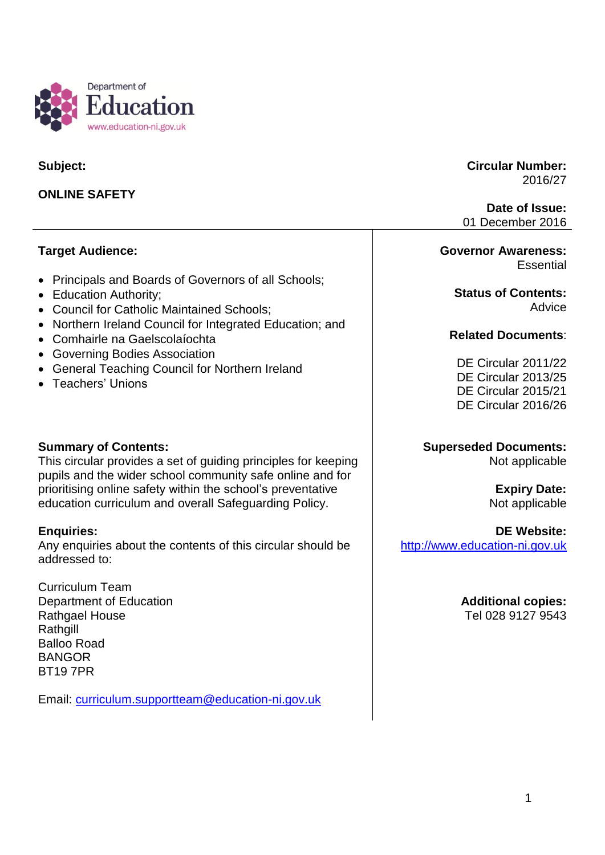

**Subject:**

## **ONLINE SAFETY**

**Target Audience:**

- Principals and Boards of Governors of all Schools;
- Education Authority;
- Council for Catholic Maintained Schools;
- Northern Ireland Council for Integrated Education; and
- Comhairle na Gaelscolaíochta
- Governing Bodies Association
- General Teaching Council for Northern Ireland
- Teachers' Unions

#### **Summary of Contents:**

This circular provides a set of guiding principles for keeping pupils and the wider school community safe online and for prioritising online safety within the school's preventative education curriculum and overall Safeguarding Policy.

#### **Enquiries:**

Any enquiries about the contents of this circular should be addressed to:

Curriculum Team Department of Education Rathgael House **Rathgill** Balloo Road **BANGOR** BT19 7PR

Email: [curriculum.supportteam@education-ni.gov.uk](mailto:curriculum.supportteam@education-ni.gov.uk)

**Circular Number:** 2016/27

**Date of Issue:** 01 December 2016

#### **Governor Awareness: Essential**

**Status of Contents: Advice** 

#### **Related Documents**:

DE Circular 2011/22 DE Circular 2013/25 DE Circular 2015/21 DE Circular 2016/26

## **Superseded Documents:**

Not applicable

# **Expiry Date:**

Not applicable

#### **DE Website:**

[http://www.education-ni.gov.uk](http://www.education-ni.gov.uk/)

**Additional copies:** Tel 028 9127 9543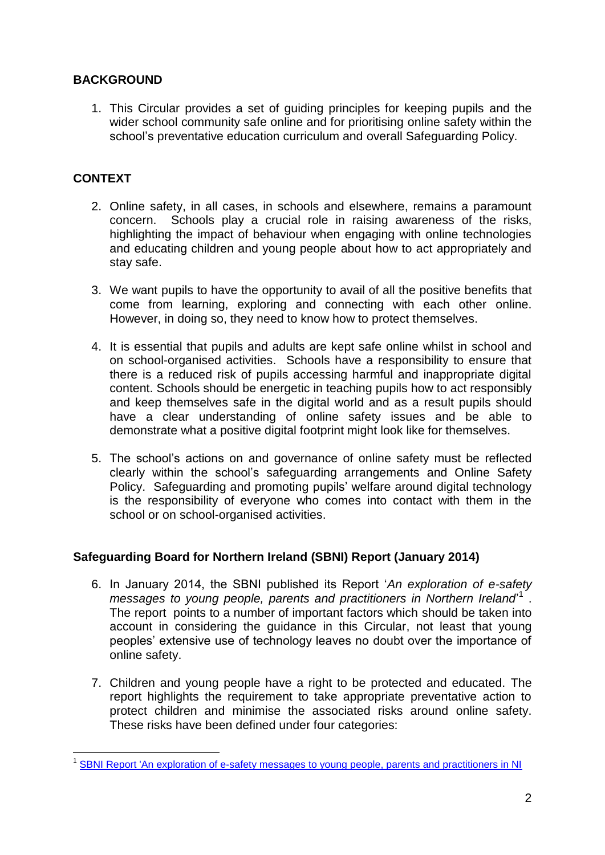## **BACKGROUND**

1. This Circular provides a set of guiding principles for keeping pupils and the wider school community safe online and for prioritising online safety within the school's preventative education curriculum and overall Safeguarding Policy.

## **CONTEXT**

- 2. Online safety, in all cases, in schools and elsewhere, remains a paramount concern. Schools play a crucial role in raising awareness of the risks, highlighting the impact of behaviour when engaging with online technologies and educating children and young people about how to act appropriately and stay safe.
- 3. We want pupils to have the opportunity to avail of all the positive benefits that come from learning, exploring and connecting with each other online. However, in doing so, they need to know how to protect themselves.
- 4. It is essential that pupils and adults are kept safe online whilst in school and on school-organised activities. Schools have a responsibility to ensure that there is a reduced risk of pupils accessing harmful and inappropriate digital content. Schools should be energetic in teaching pupils how to act responsibly and keep themselves safe in the digital world and as a result pupils should have a clear understanding of online safety issues and be able to demonstrate what a positive digital footprint might look like for themselves.
- 5. The school's actions on and governance of online safety must be reflected clearly within the school's safeguarding arrangements and Online Safety Policy. Safeguarding and promoting pupils' welfare around digital technology is the responsibility of everyone who comes into contact with them in the school or on school-organised activities.

## **Safeguarding Board for Northern Ireland (SBNI) Report (January 2014)**

- 6. In January 2014, the SBNI published its Report '*An exploration of e-safety*  messages to young people, parents and practitioners in Northern Ireland<sup>1</sup>. The report points to a number of important factors which should be taken into account in considering the guidance in this Circular, not least that young peoples' extensive use of technology leaves no doubt over the importance of online safety.
- 7. Children and young people have a right to be protected and educated. The report highlights the requirement to take appropriate preventative action to protect children and minimise the associated risks around online safety. These risks have been defined under four categories:

 1 [SBNI Report 'An exploration of e-safety messages to young people, parents and practitioners in NI](http://www.safeguardingni.org/sites/default/files/sites/default/files/imce/e-safety%20report.pdf)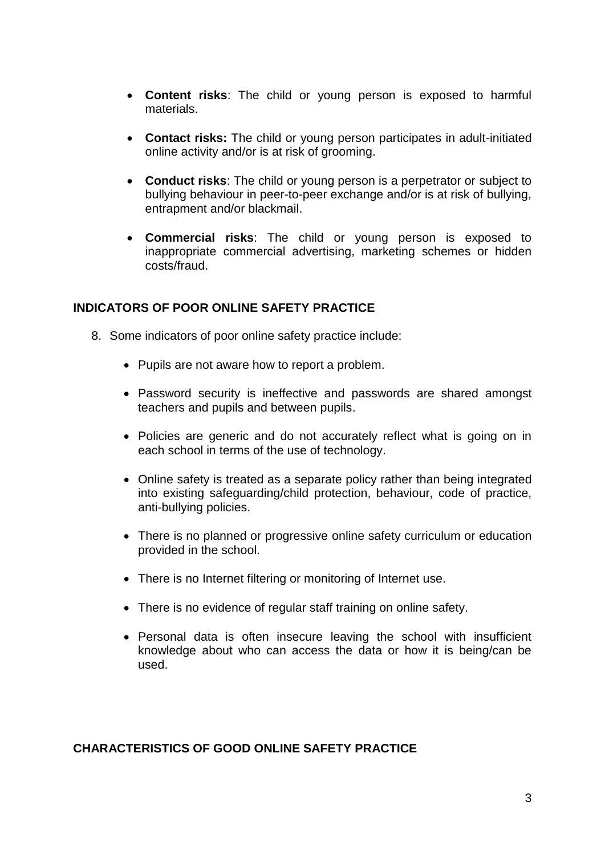- **Content risks**: The child or young person is exposed to harmful materials.
- **Contact risks:** The child or young person participates in adult-initiated online activity and/or is at risk of grooming.
- **Conduct risks**: The child or young person is a perpetrator or subject to bullying behaviour in peer-to-peer exchange and/or is at risk of bullying, entrapment and/or blackmail.
- **Commercial risks**: The child or young person is exposed to inappropriate commercial advertising, marketing schemes or hidden costs/fraud.

#### **INDICATORS OF POOR ONLINE SAFETY PRACTICE**

- 8. Some indicators of poor online safety practice include:
	- Pupils are not aware how to report a problem.
	- Password security is ineffective and passwords are shared amongst teachers and pupils and between pupils.
	- Policies are generic and do not accurately reflect what is going on in each school in terms of the use of technology.
	- Online safety is treated as a separate policy rather than being integrated into existing safeguarding/child protection, behaviour, code of practice, anti-bullying policies.
	- There is no planned or progressive online safety curriculum or education provided in the school.
	- There is no Internet filtering or monitoring of Internet use.
	- There is no evidence of regular staff training on online safety.
	- Personal data is often insecure leaving the school with insufficient knowledge about who can access the data or how it is being/can be used.

#### **CHARACTERISTICS OF GOOD ONLINE SAFETY PRACTICE**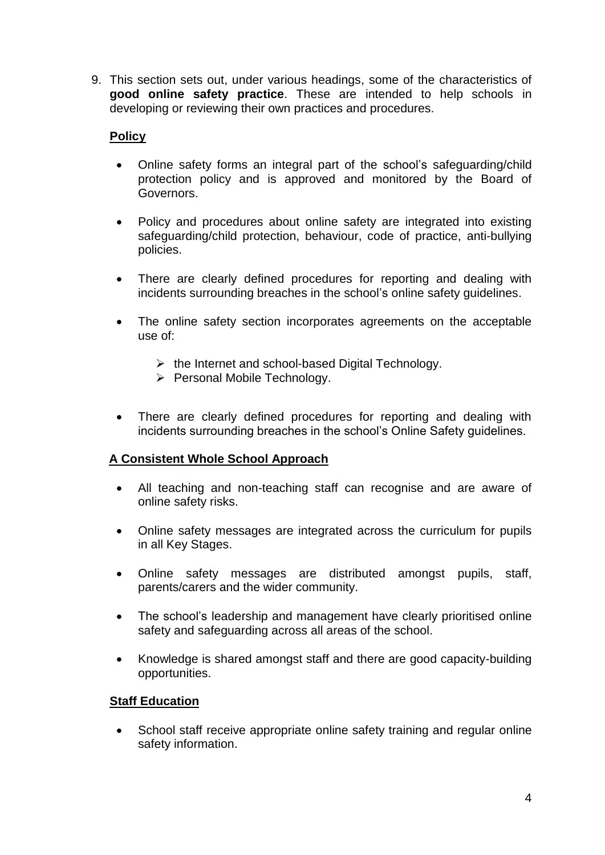9. This section sets out, under various headings, some of the characteristics of **good online safety practice**. These are intended to help schools in developing or reviewing their own practices and procedures.

## **Policy**

- Online safety forms an integral part of the school's safeguarding/child protection policy and is approved and monitored by the Board of Governors.
- Policy and procedures about online safety are integrated into existing safeguarding/child protection, behaviour, code of practice, anti-bullying policies.
- There are clearly defined procedures for reporting and dealing with incidents surrounding breaches in the school's online safety guidelines.
- The online safety section incorporates agreements on the acceptable use of:
	- $\triangleright$  the Internet and school-based Digital Technology.
	- Personal Mobile Technology.
- There are clearly defined procedures for reporting and dealing with incidents surrounding breaches in the school's Online Safety guidelines.

## **A Consistent Whole School Approach**

- All teaching and non-teaching staff can recognise and are aware of online safety risks.
- Online safety messages are integrated across the curriculum for pupils in all Key Stages.
- Online safety messages are distributed amongst pupils, staff, parents/carers and the wider community.
- The school's leadership and management have clearly prioritised online safety and safeguarding across all areas of the school.
- Knowledge is shared amongst staff and there are good capacity-building opportunities.

## **Staff Education**

• School staff receive appropriate online safety training and regular online safety information.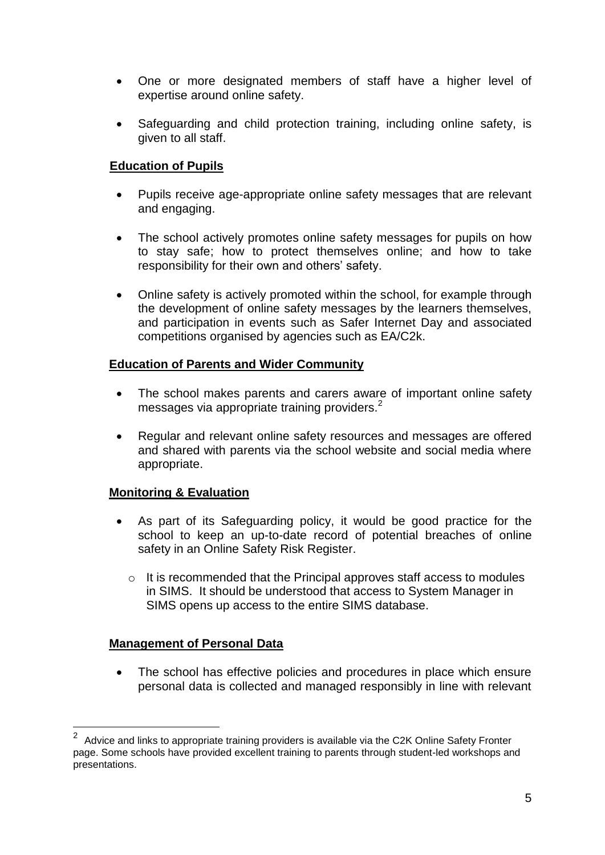- One or more designated members of staff have a higher level of expertise around online safety.
- Safeguarding and child protection training, including online safety, is given to all staff.

## **Education of Pupils**

- Pupils receive age-appropriate online safety messages that are relevant and engaging.
- The school actively promotes online safety messages for pupils on how to stay safe; how to protect themselves online; and how to take responsibility for their own and others' safety.
- Online safety is actively promoted within the school, for example through the development of online safety messages by the learners themselves, and participation in events such as Safer Internet Day and associated competitions organised by agencies such as EA/C2k.

## **Education of Parents and Wider Community**

- The school makes parents and carers aware of important online safety messages via appropriate training providers.<sup>2</sup>
- Regular and relevant online safety resources and messages are offered and shared with parents via the school website and social media where appropriate.

## **Monitoring & Evaluation**

- As part of its Safeguarding policy, it would be good practice for the school to keep an up-to-date record of potential breaches of online safety in an Online Safety Risk Register.
	- $\circ$  It is recommended that the Principal approves staff access to modules in SIMS. It should be understood that access to System Manager in SIMS opens up access to the entire SIMS database.

## **Management of Personal Data**

1

• The school has effective policies and procedures in place which ensure personal data is collected and managed responsibly in line with relevant

<sup>2</sup> Advice and links to appropriate training providers is available via the C2K Online Safety Fronter page. Some schools have provided excellent training to parents through student-led workshops and presentations.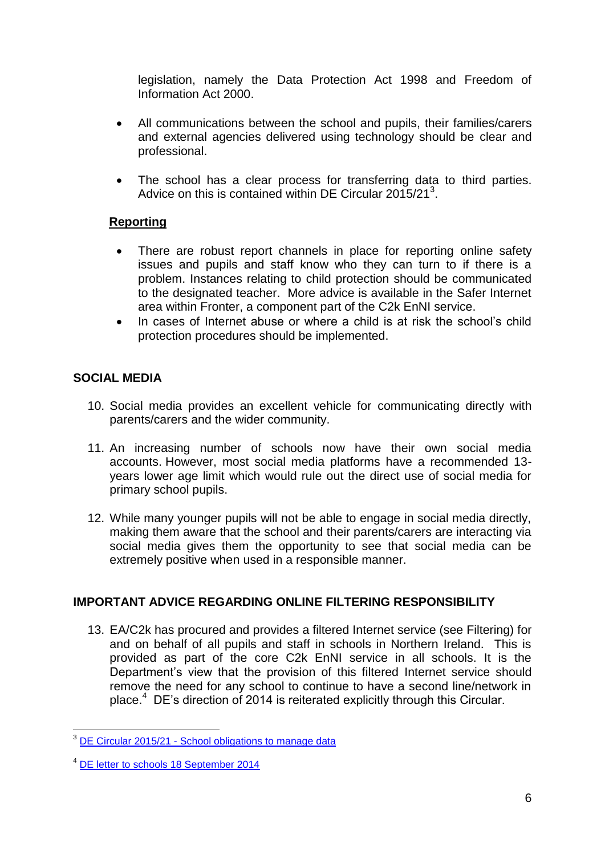legislation, namely the Data Protection Act 1998 and Freedom of Information Act 2000.

- All communications between the school and pupils, their families/carers and external agencies delivered using technology should be clear and professional.
- The school has a clear process for transferring data to third parties. Advice on this is contained within DE Circular 2015/21<sup>3</sup>.

## **Reporting**

- There are robust report channels in place for reporting online safety issues and pupils and staff know who they can turn to if there is a problem. Instances relating to child protection should be communicated to the designated teacher. More advice is available in the Safer Internet area within Fronter, a component part of the C2k EnNI service.
- In cases of Internet abuse or where a child is at risk the school's child protection procedures should be implemented.

## **SOCIAL MEDIA**

- 10. Social media provides an excellent vehicle for communicating directly with parents/carers and the wider community.
- 11. An increasing number of schools now have their own social media accounts. However, most social media platforms have a recommended 13 years lower age limit which would rule out the direct use of social media for primary school pupils.
- 12. While many younger pupils will not be able to engage in social media directly, making them aware that the school and their parents/carers are interacting via social media gives them the opportunity to see that social media can be extremely positive when used in a responsible manner.

# **IMPORTANT ADVICE REGARDING ONLINE FILTERING RESPONSIBILITY**

13. EA/C2k has procured and provides a filtered Internet service (see Filtering) for and on behalf of all pupils and staff in schools in Northern Ireland. This is provided as part of the core C2k EnNI service in all schools. It is the Department's view that the provision of this filtered Internet service should remove the need for any school to continue to have a second line/network in place.<sup>4</sup> DE's direction of 2014 is reiterated explicitly through this Circular.

<sup>1</sup> <sup>3</sup> DE Circular 2015/21 - [School obligations to manage data](https://www.education-ni.gov.uk/sites/default/files/publications/de/circular-2015-21-school-obligations.pdf)

<sup>4</sup> [DE letter to schools 18 September 2014](https://www.education-ni.gov.uk/sites/default/files/publications/de/ict-provision-in-schools-letter-to-schools.pdf)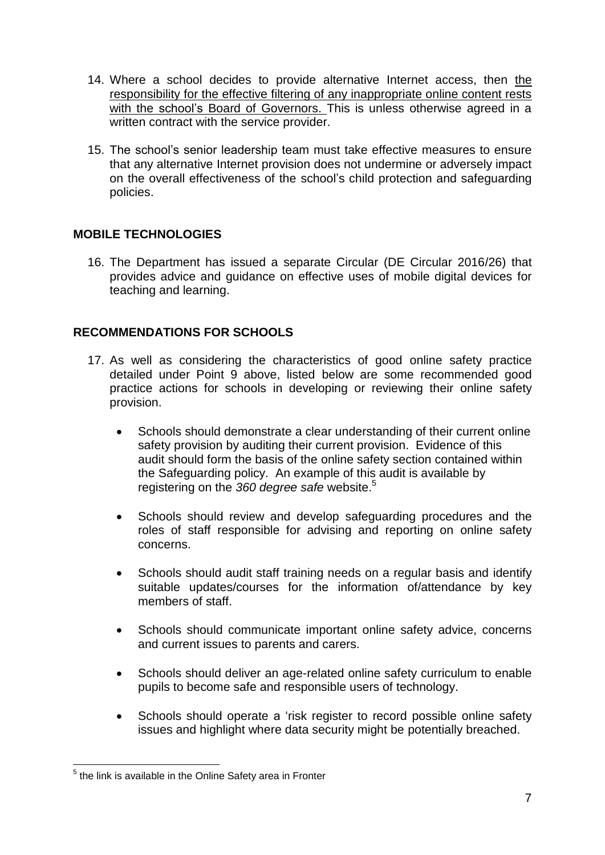- 14. Where a school decides to provide alternative Internet access, then the responsibility for the effective filtering of any inappropriate online content rests with the school's Board of Governors. This is unless otherwise agreed in a written contract with the service provider.
- 15. The school's senior leadership team must take effective measures to ensure that any alternative Internet provision does not undermine or adversely impact on the overall effectiveness of the school's child protection and safeguarding policies.

## **MOBILE TECHNOLOGIES**

16. The Department has issued a separate Circular (DE Circular 2016/26) that provides advice and guidance on effective uses of mobile digital devices for teaching and learning.

#### **RECOMMENDATIONS FOR SCHOOLS**

- 17. As well as considering the characteristics of good online safety practice detailed under Point 9 above, listed below are some recommended good practice actions for schools in developing or reviewing their online safety provision.
	- Schools should demonstrate a clear understanding of their current online safety provision by auditing their current provision. Evidence of this audit should form the basis of the online safety section contained within the Safeguarding policy. An example of this audit is available by registering on the *360 degree safe* website. 5
	- Schools should review and develop safeguarding procedures and the roles of staff responsible for advising and reporting on online safety concerns.
	- Schools should audit staff training needs on a regular basis and identify suitable updates/courses for the information of/attendance by key members of staff.
	- Schools should communicate important online safety advice, concerns and current issues to parents and carers.
	- Schools should deliver an age-related online safety curriculum to enable pupils to become safe and responsible users of technology.
	- Schools should operate a 'risk register to record possible online safety issues and highlight where data security might be potentially breached.

 5 the link is available in the Online Safety area in Fronter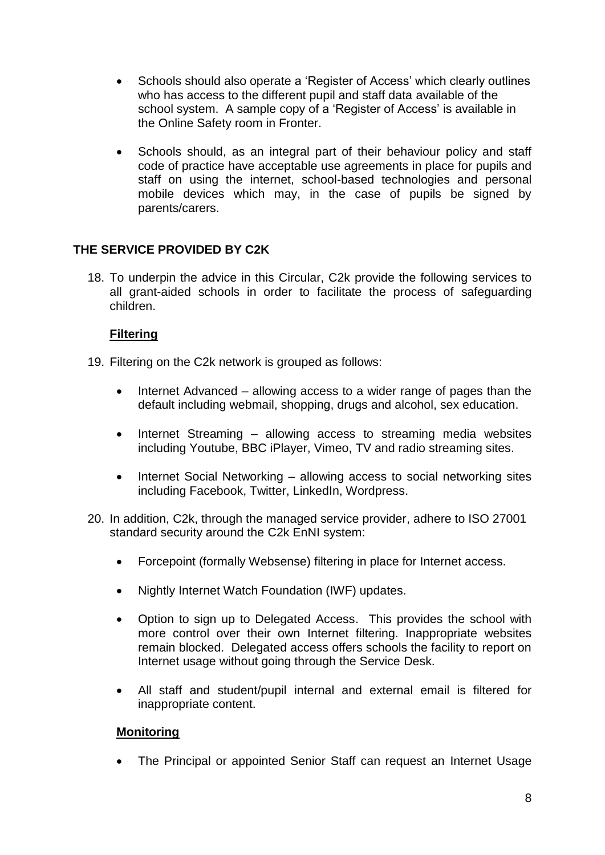- Schools should also operate a 'Register of Access' which clearly outlines who has access to the different pupil and staff data available of the school system. A sample copy of a 'Register of Access' is available in the Online Safety room in Fronter.
- Schools should, as an integral part of their behaviour policy and staff code of practice have acceptable use agreements in place for pupils and staff on using the internet, school-based technologies and personal mobile devices which may, in the case of pupils be signed by parents/carers.

## **THE SERVICE PROVIDED BY C2K**

18. To underpin the advice in this Circular, C2k provide the following services to all grant-aided schools in order to facilitate the process of safeguarding children.

#### **Filtering**

- 19. Filtering on the C2k network is grouped as follows:
	- Internet Advanced allowing access to a wider range of pages than the default including webmail, shopping, drugs and alcohol, sex education.
	- Internet Streaming allowing access to streaming media websites including Youtube, BBC iPlayer, Vimeo, TV and radio streaming sites.
	- Internet Social Networking allowing access to social networking sites including Facebook, Twitter, LinkedIn, Wordpress.
- 20. In addition, C2k, through the managed service provider, adhere to ISO 27001 standard security around the C2k EnNI system:
	- Forcepoint (formally Websense) filtering in place for Internet access.
	- Nightly Internet Watch Foundation (IWF) updates.
	- Option to sign up to Delegated Access. This provides the school with more control over their own Internet filtering. Inappropriate websites remain blocked. Delegated access offers schools the facility to report on Internet usage without going through the Service Desk.
	- All staff and student/pupil internal and external email is filtered for inappropriate content.

#### **Monitoring**

The Principal or appointed Senior Staff can request an Internet Usage